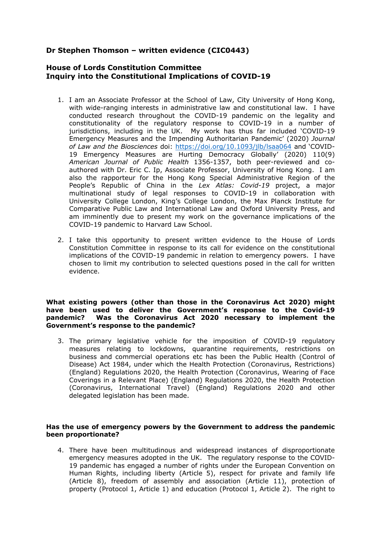# **Dr Stephen Thomson – written evidence (CIC0443)**

# **House of Lords Constitution Committee Inquiry into the Constitutional Implications of COVID-19**

- 1. I am an Associate Professor at the School of Law, City University of Hong Kong, with wide-ranging interests in administrative law and constitutional law. I have conducted research throughout the COVID-19 pandemic on the legality and constitutionality of the regulatory response to COVID-19 in a number of jurisdictions, including in the UK. My work has thus far included 'COVID-19 Emergency Measures and the Impending Authoritarian Pandemic' (2020) *Journal of Law and the Biosciences* doi: <https://doi.org/10.1093/jlb/lsaa064> and 'COVID-19 Emergency Measures are Hurting Democracy Globally' (2020) 110(9) *American Journal of Public Health* 1356-1357, both peer-reviewed and coauthored with Dr. Eric C. Ip, Associate Professor, University of Hong Kong. I am also the rapporteur for the Hong Kong Special Administrative Region of the People's Republic of China in the *Lex Atlas: Covid-19* project, a major multinational study of legal responses to COVID-19 in collaboration with University College London, King's College London, the Max Planck Institute for Comparative Public Law and International Law and Oxford University Press, and am imminently due to present my work on the governance implications of the COVID-19 pandemic to Harvard Law School.
- 2. I take this opportunity to present written evidence to the House of Lords Constitution Committee in response to its call for evidence on the constitutional implications of the COVID-19 pandemic in relation to emergency powers. I have chosen to limit my contribution to selected questions posed in the call for written evidence.

# **What existing powers (other than those in the Coronavirus Act 2020) might have been used to deliver the Government's response to the Covid-19 pandemic? Was the Coronavirus Act 2020 necessary to implement the Government's response to the pandemic?**

3. The primary legislative vehicle for the imposition of COVID-19 regulatory measures relating to lockdowns, quarantine requirements, restrictions on business and commercial operations etc has been the Public Health (Control of Disease) Act 1984, under which the Health Protection (Coronavirus, Restrictions) (England) Regulations 2020, the Health Protection (Coronavirus, Wearing of Face Coverings in a Relevant Place) (England) Regulations 2020, the Health Protection (Coronavirus, International Travel) (England) Regulations 2020 and other delegated legislation has been made.

## **Has the use of emergency powers by the Government to address the pandemic been proportionate?**

4. There have been multitudinous and widespread instances of disproportionate emergency measures adopted in the UK. The regulatory response to the COVID-19 pandemic has engaged a number of rights under the European Convention on Human Rights, including liberty (Article 5), respect for private and family life (Article 8), freedom of assembly and association (Article 11), protection of property (Protocol 1, Article 1) and education (Protocol 1, Article 2). The right to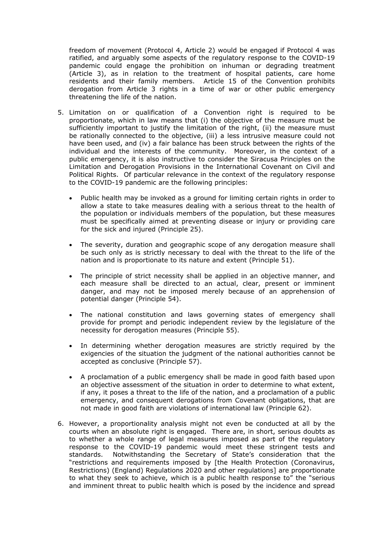freedom of movement (Protocol 4, Article 2) would be engaged if Protocol 4 was ratified, and arguably some aspects of the regulatory response to the COVID-19 pandemic could engage the prohibition on inhuman or degrading treatment (Article 3), as in relation to the treatment of hospital patients, care home residents and their family members. Article 15 of the Convention prohibits derogation from Article 3 rights in a time of war or other public emergency threatening the life of the nation.

- 5. Limitation on or qualification of a Convention right is required to be proportionate, which in law means that (i) the objective of the measure must be sufficiently important to justify the limitation of the right, (ii) the measure must be rationally connected to the objective, (iii) a less intrusive measure could not have been used, and (iv) a fair balance has been struck between the rights of the individual and the interests of the community. Moreover, in the context of a public emergency, it is also instructive to consider the Siracusa Principles on the Limitation and Derogation Provisions in the International Covenant on Civil and Political Rights. Of particular relevance in the context of the regulatory response to the COVID-19 pandemic are the following principles:
	- Public health may be invoked as a ground for limiting certain rights in order to allow a state to take measures dealing with a serious threat to the health of the population or individuals members of the population, but these measures must be specifically aimed at preventing disease or injury or providing care for the sick and injured (Principle 25).
	- The severity, duration and geographic scope of any derogation measure shall be such only as is strictly necessary to deal with the threat to the life of the nation and is proportionate to its nature and extent (Principle 51).
	- The principle of strict necessity shall be applied in an objective manner, and each measure shall be directed to an actual, clear, present or imminent danger, and may not be imposed merely because of an apprehension of potential danger (Principle 54).
	- The national constitution and laws governing states of emergency shall provide for prompt and periodic independent review by the legislature of the necessity for derogation measures (Principle 55).
	- In determining whether derogation measures are strictly required by the exigencies of the situation the judgment of the national authorities cannot be accepted as conclusive (Principle 57).
	- A proclamation of a public emergency shall be made in good faith based upon an objective assessment of the situation in order to determine to what extent, if any, it poses a threat to the life of the nation, and a proclamation of a public emergency, and consequent derogations from Covenant obligations, that are not made in good faith are violations of international law (Principle 62).
- 6. However, a proportionality analysis might not even be conducted at all by the courts when an absolute right is engaged. There are, in short, serious doubts as to whether a whole range of legal measures imposed as part of the regulatory response to the COVID-19 pandemic would meet these stringent tests and standards. Notwithstanding the Secretary of State's consideration that the "restrictions and requirements imposed by [the Health Protection (Coronavirus, Restrictions) (England) Regulations 2020 and other regulations] are proportionate to what they seek to achieve, which is a public health response to" the "serious and imminent threat to public health which is posed by the incidence and spread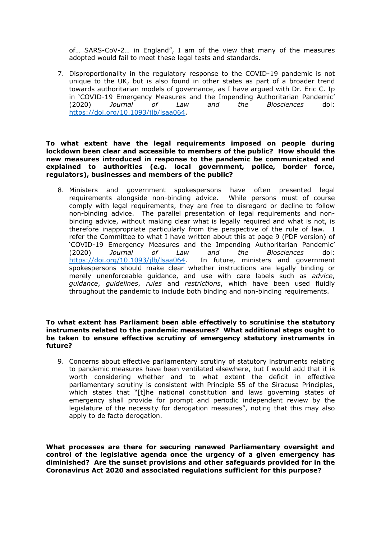of… SARS-CoV-2… in England", I am of the view that many of the measures adopted would fail to meet these legal tests and standards.

7. Disproportionality in the regulatory response to the COVID-19 pandemic is not unique to the UK, but is also found in other states as part of a broader trend towards authoritarian models of governance, as I have argued with Dr. Eric C. Ip in 'COVID-19 Emergency Measures and the Impending Authoritarian Pandemic' (2020) *Journal of Law and the Biosciences* doi: <https://doi.org/10.1093/jlb/lsaa064>.

# **To what extent have the legal requirements imposed on people during lockdown been clear and accessible to members of the public? How should the new measures introduced in response to the pandemic be communicated and explained to authorities (e.g. local government, police, border force, regulators), businesses and members of the public?**

8. Ministers and government spokespersons have often presented legal requirements alongside non-binding advice. While persons must of course requirements alongside non-binding advice. comply with legal requirements, they are free to disregard or decline to follow non-binding advice. The parallel presentation of legal requirements and nonbinding advice, without making clear what is legally required and what is not, is therefore inappropriate particularly from the perspective of the rule of law. I refer the Committee to what I have written about this at page 9 (PDF version) of 'COVID-19 Emergency Measures and the Impending Authoritarian Pandemic' (2020) *Journal of Law and the Biosciences* doi: <https://doi.org/10.1093/jlb/lsaa064>. In future, ministers and government spokespersons should make clear whether instructions are legally binding or merely unenforceable guidance, and use with care labels such as *advice*, *guidance*, *guidelines*, *rules* and *restrictions*, which have been used fluidly throughout the pandemic to include both binding and non-binding requirements.

#### **To what extent has Parliament been able effectively to scrutinise the statutory instruments related to the pandemic measures? What additional steps ought to be taken to ensure effective scrutiny of emergency statutory instruments in future?**

9. Concerns about effective parliamentary scrutiny of statutory instruments relating to pandemic measures have been ventilated elsewhere, but I would add that it is worth considering whether and to what extent the deficit in effective parliamentary scrutiny is consistent with Principle 55 of the Siracusa Principles, which states that "[t]he national constitution and laws governing states of emergency shall provide for prompt and periodic independent review by the legislature of the necessity for derogation measures", noting that this may also apply to de facto derogation.

**What processes are there for securing renewed Parliamentary oversight and control of the legislative agenda once the urgency of a given emergency has diminished? Are the sunset provisions and other safeguards provided for in the Coronavirus Act 2020 and associated regulations sufficient for this purpose?**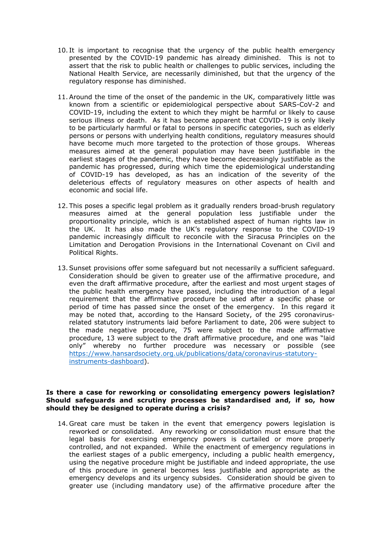- 10. It is important to recognise that the urgency of the public health emergency presented by the COVID-19 pandemic has already diminished. This is not to assert that the risk to public health or challenges to public services, including the National Health Service, are necessarily diminished, but that the urgency of the regulatory response has diminished.
- 11.Around the time of the onset of the pandemic in the UK, comparatively little was known from a scientific or epidemiological perspective about SARS-CoV-2 and COVID-19, including the extent to which they might be harmful or likely to cause serious illness or death. As it has become apparent that COVID-19 is only likely to be particularly harmful or fatal to persons in specific categories, such as elderly persons or persons with underlying health conditions, regulatory measures should have become much more targeted to the protection of those groups. Whereas measures aimed at the general population may have been justifiable in the earliest stages of the pandemic, they have become decreasingly justifiable as the pandemic has progressed, during which time the epidemiological understanding of COVID-19 has developed, as has an indication of the severity of the deleterious effects of regulatory measures on other aspects of health and economic and social life.
- 12. This poses a specific legal problem as it gradually renders broad-brush regulatory measures aimed at the general population less justifiable under the proportionality principle, which is an established aspect of human rights law in the UK. It has also made the UK's regulatory response to the COVID-19 pandemic increasingly difficult to reconcile with the Siracusa Principles on the Limitation and Derogation Provisions in the International Covenant on Civil and Political Rights.
- 13.Sunset provisions offer some safeguard but not necessarily a sufficient safeguard. Consideration should be given to greater use of the affirmative procedure, and even the draft affirmative procedure, after the earliest and most urgent stages of the public health emergency have passed, including the introduction of a legal requirement that the affirmative procedure be used after a specific phase or period of time has passed since the onset of the emergency. In this regard it may be noted that, according to the Hansard Society, of the 295 coronavirusrelated statutory instruments laid before Parliament to date, 206 were subject to the made negative procedure, 75 were subject to the made affirmative procedure, 13 were subject to the draft affirmative procedure, and one was "laid only" whereby no further procedure was necessary or possible (see [https://www.hansardsociety.org.uk/publications/data/coronavirus-statutory](https://www.hansardsociety.org.uk/publications/data/coronavirus-statutory-instruments-dashboard)[instruments-dashboard\)](https://www.hansardsociety.org.uk/publications/data/coronavirus-statutory-instruments-dashboard).

# **Is there a case for reworking or consolidating emergency powers legislation? Should safeguards and scrutiny processes be standardised and, if so, how should they be designed to operate during a crisis?**

14. Great care must be taken in the event that emergency powers legislation is reworked or consolidated. Any reworking or consolidation must ensure that the legal basis for exercising emergency powers is curtailed or more properly controlled, and not expanded. While the enactment of emergency regulations in the earliest stages of a public emergency, including a public health emergency, using the negative procedure might be justifiable and indeed appropriate, the use of this procedure in general becomes less justifiable and appropriate as the emergency develops and its urgency subsides. Consideration should be given to greater use (including mandatory use) of the affirmative procedure after the